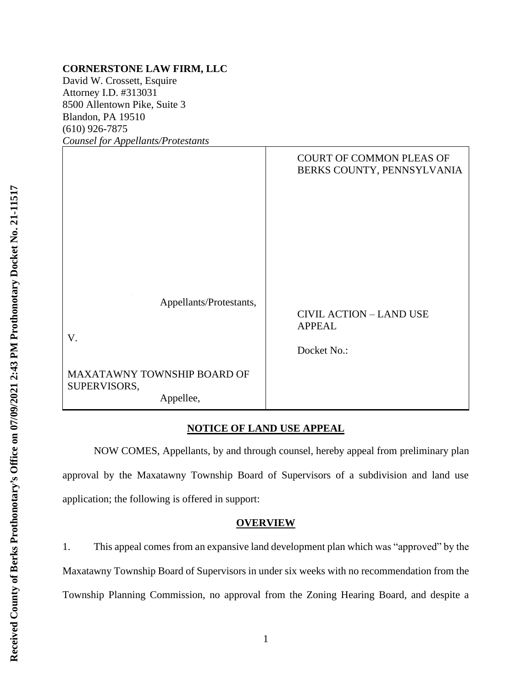### **CORNERSTONE LAW FIRM, LLC**

David W. Crossett, Esquire Attorney I.D. #313031 8500 Allentown Pike, Suite 3 Blandon, PA 19510 (610) 926-7875 *Counsel for Appellants/Protestants*

| Counset for Appendius/I rolestants          |                                                               |
|---------------------------------------------|---------------------------------------------------------------|
|                                             | <b>COURT OF COMMON PLEAS OF</b><br>BERKS COUNTY, PENNSYLVANIA |
|                                             |                                                               |
|                                             |                                                               |
|                                             |                                                               |
| Appellants/Protestants,                     | <b>CIVIL ACTION - LAND USE</b>                                |
| V.                                          | <b>APPEAL</b>                                                 |
|                                             | Docket No.:                                                   |
| MAXATAWNY TOWNSHIP BOARD OF<br>SUPERVISORS, |                                                               |
| Appellee,                                   |                                                               |

## **NOTICE OF LAND USE APPEAL**

NOW COMES, Appellants, by and through counsel, hereby appeal from preliminary plan approval by the Maxatawny Township Board of Supervisors of a subdivision and land use application; the following is offered in support:

### **OVERVIEW**

1. This appeal comes from an expansive land development plan which was "approved" by the Maxatawny Township Board of Supervisors in under six weeks with no recommendation from the Township Planning Commission, no approval from the Zoning Hearing Board, and despite a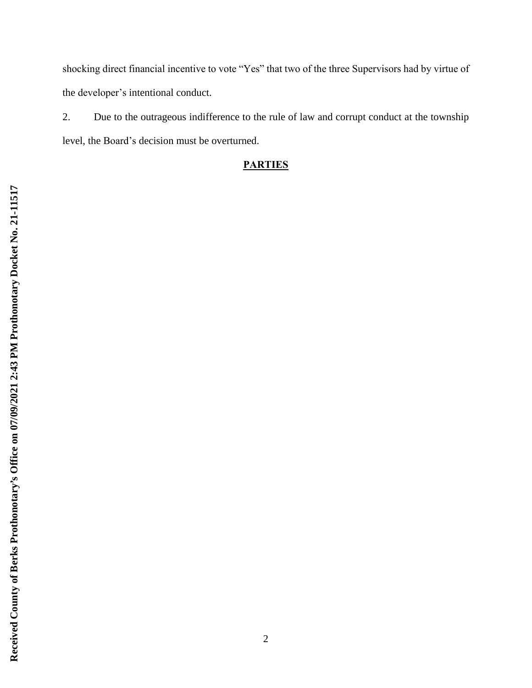shocking direct financial incentive to vote "Yes" that two of the three Supervisors had by virtue of the developer's intentional conduct.

2. Due to the outrageous indifference to the rule of law and corrupt conduct at the township level, the Board's decision must be overturned.

# **PARTIES**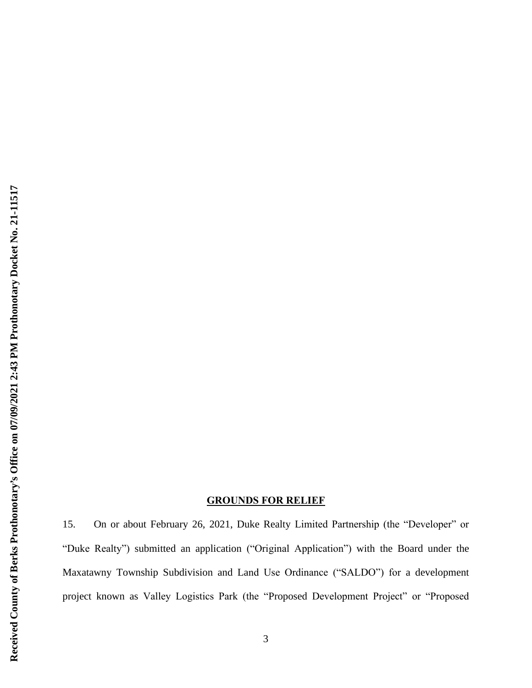## **GROUNDS FOR RELIEF**

15. On or about February 26, 2021, Duke Realty Limited Partnership (the "Developer" or "Duke Realty") submitted an application ("Original Application") with the Board under the Maxatawny Township Subdivision and Land Use Ordinance ("SALDO") for a development project known as Valley Logistics Park (the "Proposed Development Project" or "Proposed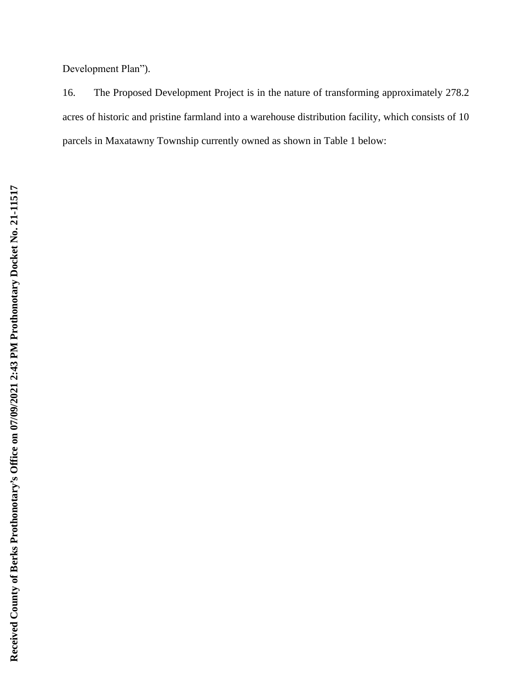Development Plan").

16. The Proposed Development Project is in the nature of transforming approximately 278.2 acres of historic and pristine farmland into a warehouse distribution facility, which consists of 10 parcels in Maxatawny Township currently owned as shown in Table 1 below: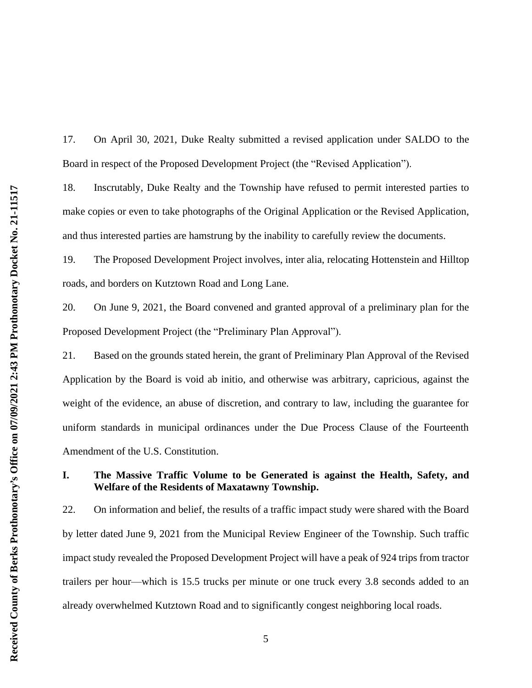17. On April 30, 2021, Duke Realty submitted a revised application under SALDO to the Board in respect of the Proposed Development Project (the "Revised Application").

18. Inscrutably, Duke Realty and the Township have refused to permit interested parties to make copies or even to take photographs of the Original Application or the Revised Application, and thus interested parties are hamstrung by the inability to carefully review the documents.

19. The Proposed Development Project involves, inter alia, relocating Hottenstein and Hilltop roads, and borders on Kutztown Road and Long Lane.

20. On June 9, 2021, the Board convened and granted approval of a preliminary plan for the Proposed Development Project (the "Preliminary Plan Approval").

21. Based on the grounds stated herein, the grant of Preliminary Plan Approval of the Revised Application by the Board is void ab initio, and otherwise was arbitrary, capricious, against the weight of the evidence, an abuse of discretion, and contrary to law, including the guarantee for uniform standards in municipal ordinances under the Due Process Clause of the Fourteenth Amendment of the U.S. Constitution.

## **I. The Massive Traffic Volume to be Generated is against the Health, Safety, and Welfare of the Residents of Maxatawny Township.**

22. On information and belief, the results of a traffic impact study were shared with the Board by letter dated June 9, 2021 from the Municipal Review Engineer of the Township. Such traffic impact study revealed the Proposed Development Project will have a peak of 924 trips from tractor trailers per hour—which is 15.5 trucks per minute or one truck every 3.8 seconds added to an already overwhelmed Kutztown Road and to significantly congest neighboring local roads.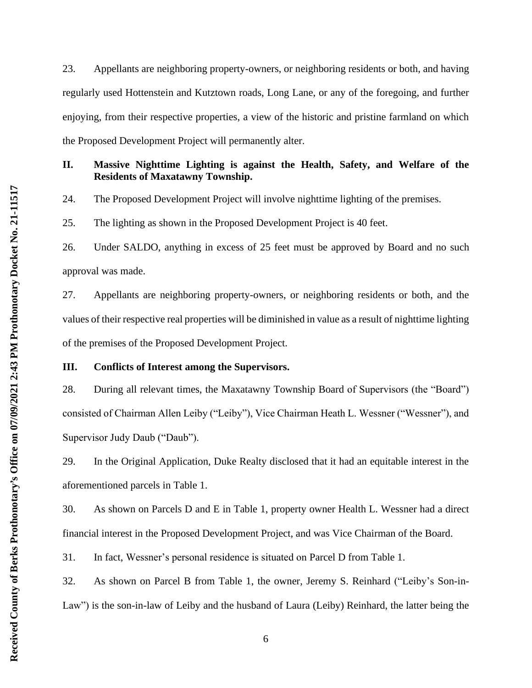23. Appellants are neighboring property-owners, or neighboring residents or both, and having regularly used Hottenstein and Kutztown roads, Long Lane, or any of the foregoing, and further enjoying, from their respective properties, a view of the historic and pristine farmland on which the Proposed Development Project will permanently alter.

### **II. Massive Nighttime Lighting is against the Health, Safety, and Welfare of the Residents of Maxatawny Township.**

24. The Proposed Development Project will involve nighttime lighting of the premises.

25. The lighting as shown in the Proposed Development Project is 40 feet.

26. Under SALDO, anything in excess of 25 feet must be approved by Board and no such approval was made.

27. Appellants are neighboring property-owners, or neighboring residents or both, and the values of their respective real properties will be diminished in value as a result of nighttime lighting of the premises of the Proposed Development Project.

### **III. Conflicts of Interest among the Supervisors.**

28. During all relevant times, the Maxatawny Township Board of Supervisors (the "Board") consisted of Chairman Allen Leiby ("Leiby"), Vice Chairman Heath L. Wessner ("Wessner"), and Supervisor Judy Daub ("Daub").

29. In the Original Application, Duke Realty disclosed that it had an equitable interest in the aforementioned parcels in Table 1.

30. As shown on Parcels D and E in Table 1, property owner Health L. Wessner had a direct financial interest in the Proposed Development Project, and was Vice Chairman of the Board.

31. In fact, Wessner's personal residence is situated on Parcel D from Table 1.

32. As shown on Parcel B from Table 1, the owner, Jeremy S. Reinhard ("Leiby's Son-in-Law") is the son-in-law of Leiby and the husband of Laura (Leiby) Reinhard, the latter being the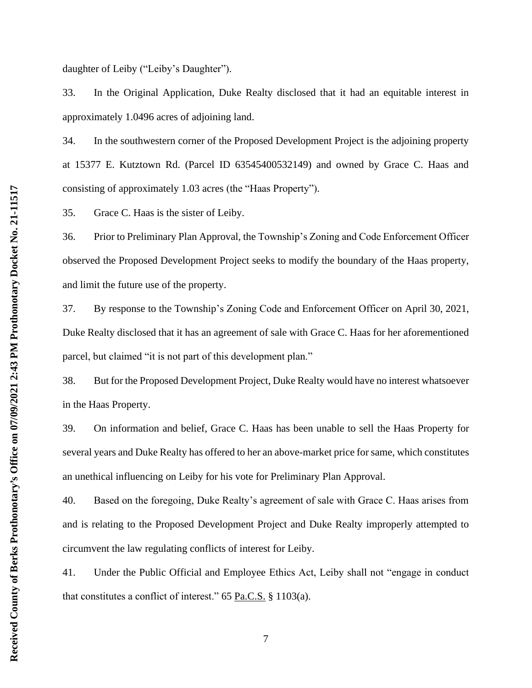daughter of Leiby ("Leiby's Daughter").

33. In the Original Application, Duke Realty disclosed that it had an equitable interest in approximately 1.0496 acres of adjoining land.

34. In the southwestern corner of the Proposed Development Project is the adjoining property at 15377 E. Kutztown Rd. (Parcel ID 63545400532149) and owned by Grace C. Haas and consisting of approximately 1.03 acres (the "Haas Property").

35. Grace C. Haas is the sister of Leiby.

36. Prior to Preliminary Plan Approval, the Township's Zoning and Code Enforcement Officer observed the Proposed Development Project seeks to modify the boundary of the Haas property, and limit the future use of the property.

37. By response to the Township's Zoning Code and Enforcement Officer on April 30, 2021, Duke Realty disclosed that it has an agreement of sale with Grace C. Haas for her aforementioned parcel, but claimed "it is not part of this development plan."

38. But for the Proposed Development Project, Duke Realty would have no interest whatsoever in the Haas Property.

39. On information and belief, Grace C. Haas has been unable to sell the Haas Property for several years and Duke Realty has offered to her an above-market price for same, which constitutes an unethical influencing on Leiby for his vote for Preliminary Plan Approval.

40. Based on the foregoing, Duke Realty's agreement of sale with Grace C. Haas arises from and is relating to the Proposed Development Project and Duke Realty improperly attempted to circumvent the law regulating conflicts of interest for Leiby.

41. Under the Public Official and Employee Ethics Act, Leiby shall not "engage in conduct that constitutes a conflict of interest." 65 Pa.C.S.  $\S 1103(a)$ .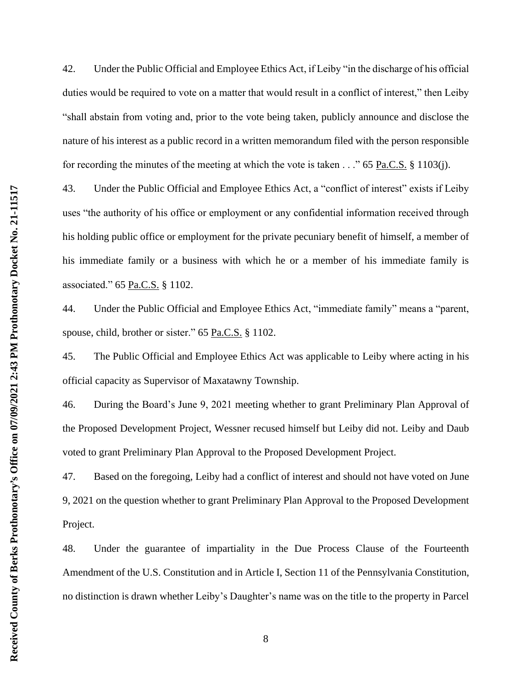42. Under the Public Official and Employee Ethics Act, if Leiby "in the discharge of his official duties would be required to vote on a matter that would result in a conflict of interest," then Leiby "shall abstain from voting and, prior to the vote being taken, publicly announce and disclose the nature of his interest as a public record in a written memorandum filed with the person responsible for recording the minutes of the meeting at which the vote is taken . . ." 65 Pa.C.S. § 1103(j).

43. Under the Public Official and Employee Ethics Act, a "conflict of interest" exists if Leiby uses "the authority of his office or employment or any confidential information received through his holding public office or employment for the private pecuniary benefit of himself, a member of his immediate family or a business with which he or a member of his immediate family is associated." 65 Pa.C.S. § 1102.

44. Under the Public Official and Employee Ethics Act, "immediate family" means a "parent, spouse, child, brother or sister." 65 Pa.C.S. § 1102.

45. The Public Official and Employee Ethics Act was applicable to Leiby where acting in his official capacity as Supervisor of Maxatawny Township.

46. During the Board's June 9, 2021 meeting whether to grant Preliminary Plan Approval of the Proposed Development Project, Wessner recused himself but Leiby did not. Leiby and Daub voted to grant Preliminary Plan Approval to the Proposed Development Project.

47. Based on the foregoing, Leiby had a conflict of interest and should not have voted on June 9, 2021 on the question whether to grant Preliminary Plan Approval to the Proposed Development Project.

48. Under the guarantee of impartiality in the Due Process Clause of the Fourteenth Amendment of the U.S. Constitution and in Article I, Section 11 of the Pennsylvania Constitution, no distinction is drawn whether Leiby's Daughter's name was on the title to the property in Parcel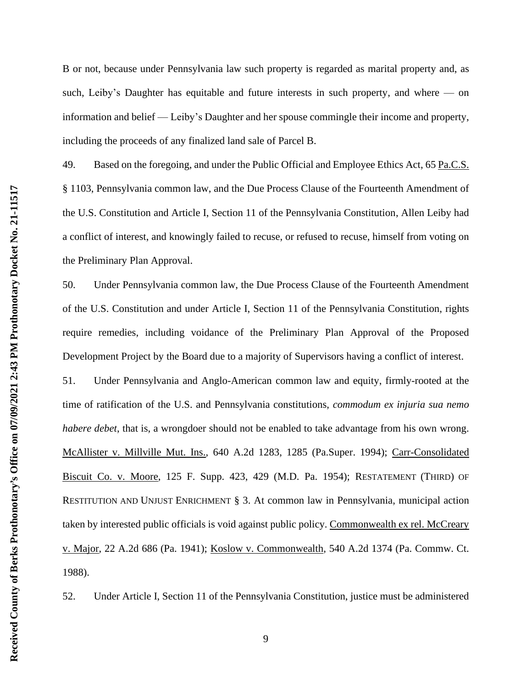B or not, because under Pennsylvania law such property is regarded as marital property and, as such, Leiby's Daughter has equitable and future interests in such property, and where — on information and belief — Leiby's Daughter and her spouse commingle their income and property, including the proceeds of any finalized land sale of Parcel B.

49. Based on the foregoing, and under the Public Official and Employee Ethics Act, 65 Pa.C.S. § 1103, Pennsylvania common law, and the Due Process Clause of the Fourteenth Amendment of the U.S. Constitution and Article I, Section 11 of the Pennsylvania Constitution, Allen Leiby had a conflict of interest, and knowingly failed to recuse, or refused to recuse, himself from voting on the Preliminary Plan Approval.

50. Under Pennsylvania common law, the Due Process Clause of the Fourteenth Amendment of the U.S. Constitution and under Article I, Section 11 of the Pennsylvania Constitution, rights require remedies, including voidance of the Preliminary Plan Approval of the Proposed Development Project by the Board due to a majority of Supervisors having a conflict of interest.

51. Under Pennsylvania and Anglo-American common law and equity, firmly-rooted at the time of ratification of the U.S. and Pennsylvania constitutions, *commodum ex injuria sua nemo habere debet*, that is, a wrongdoer should not be enabled to take advantage from his own wrong. McAllister v. Millville Mut. Ins., 640 A.2d 1283, 1285 (Pa.Super. 1994); Carr-Consolidated Biscuit Co. v. Moore, 125 F. Supp. 423, 429 (M.D. Pa. 1954); RESTATEMENT (THIRD) OF RESTITUTION AND UNJUST ENRICHMENT § 3. At common law in Pennsylvania, municipal action taken by interested public officials is void against public policy. Commonwealth ex rel. McCreary v. Major, 22 A.2d 686 (Pa. 1941); Koslow v. Commonwealth, 540 A.2d 1374 (Pa. Commw. Ct. 1988).

52. Under Article I, Section 11 of the Pennsylvania Constitution, justice must be administered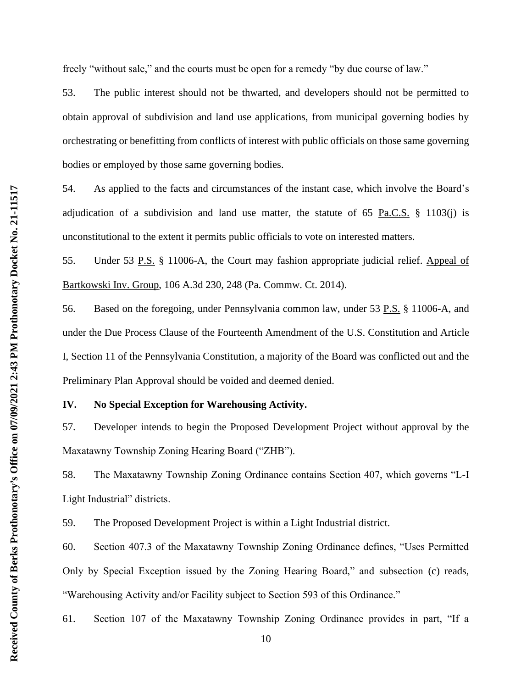freely "without sale," and the courts must be open for a remedy "by due course of law."

53. The public interest should not be thwarted, and developers should not be permitted to obtain approval of subdivision and land use applications, from municipal governing bodies by orchestrating or benefitting from conflicts of interest with public officials on those same governing bodies or employed by those same governing bodies.

54. As applied to the facts and circumstances of the instant case, which involve the Board's adjudication of a subdivision and land use matter, the statute of  $65$  Pa.C.S. § 1103(j) is unconstitutional to the extent it permits public officials to vote on interested matters.

55. Under 53 P.S. § 11006-A, the Court may fashion appropriate judicial relief. Appeal of Bartkowski Inv. Group, 106 A.3d 230, 248 (Pa. Commw. Ct. 2014).

56. Based on the foregoing, under Pennsylvania common law, under 53 P.S. § 11006-A, and under the Due Process Clause of the Fourteenth Amendment of the U.S. Constitution and Article I, Section 11 of the Pennsylvania Constitution, a majority of the Board was conflicted out and the Preliminary Plan Approval should be voided and deemed denied.

### **IV. No Special Exception for Warehousing Activity.**

57. Developer intends to begin the Proposed Development Project without approval by the Maxatawny Township Zoning Hearing Board ("ZHB").

58. The Maxatawny Township Zoning Ordinance contains Section 407, which governs "L-I Light Industrial" districts.

59. The Proposed Development Project is within a Light Industrial district.

60. Section 407.3 of the Maxatawny Township Zoning Ordinance defines, "Uses Permitted Only by Special Exception issued by the Zoning Hearing Board," and subsection (c) reads, "Warehousing Activity and/or Facility subject to Section 593 of this Ordinance."

61. Section 107 of the Maxatawny Township Zoning Ordinance provides in part, "If a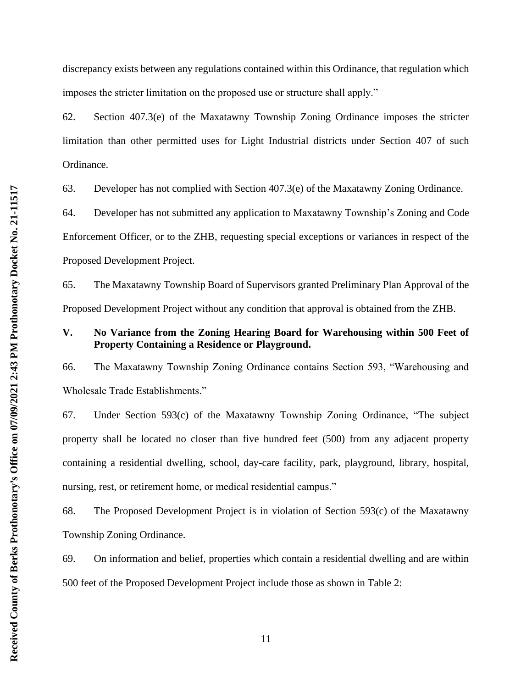discrepancy exists between any regulations contained within this Ordinance, that regulation which imposes the stricter limitation on the proposed use or structure shall apply."

62. Section 407.3(e) of the Maxatawny Township Zoning Ordinance imposes the stricter limitation than other permitted uses for Light Industrial districts under Section 407 of such Ordinance.

63. Developer has not complied with Section 407.3(e) of the Maxatawny Zoning Ordinance.

64. Developer has not submitted any application to Maxatawny Township's Zoning and Code Enforcement Officer, or to the ZHB, requesting special exceptions or variances in respect of the Proposed Development Project.

65. The Maxatawny Township Board of Supervisors granted Preliminary Plan Approval of the Proposed Development Project without any condition that approval is obtained from the ZHB.

### **V. No Variance from the Zoning Hearing Board for Warehousing within 500 Feet of Property Containing a Residence or Playground.**

66. The Maxatawny Township Zoning Ordinance contains Section 593, "Warehousing and Wholesale Trade Establishments."

67. Under Section 593(c) of the Maxatawny Township Zoning Ordinance, "The subject property shall be located no closer than five hundred feet (500) from any adjacent property containing a residential dwelling, school, day-care facility, park, playground, library, hospital, nursing, rest, or retirement home, or medical residential campus."

68. The Proposed Development Project is in violation of Section 593(c) of the Maxatawny Township Zoning Ordinance.

69. On information and belief, properties which contain a residential dwelling and are within 500 feet of the Proposed Development Project include those as shown in Table 2: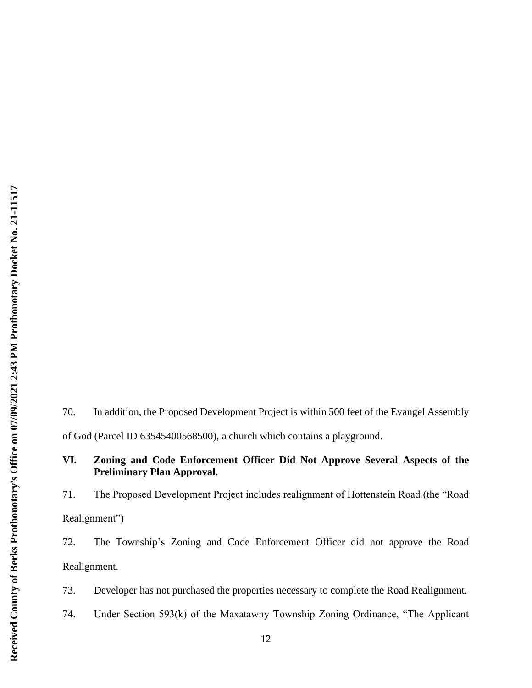70. In addition, the Proposed Development Project is within 500 feet of the Evangel Assembly of God (Parcel ID 63545400568500), a church which contains a playground.

# **VI. Zoning and Code Enforcement Officer Did Not Approve Several Aspects of the Preliminary Plan Approval.**

71. The Proposed Development Project includes realignment of Hottenstein Road (the "Road Realignment")

72. The Township's Zoning and Code Enforcement Officer did not approve the Road Realignment.

73. Developer has not purchased the properties necessary to complete the Road Realignment.

74. Under Section 593(k) of the Maxatawny Township Zoning Ordinance, "The Applicant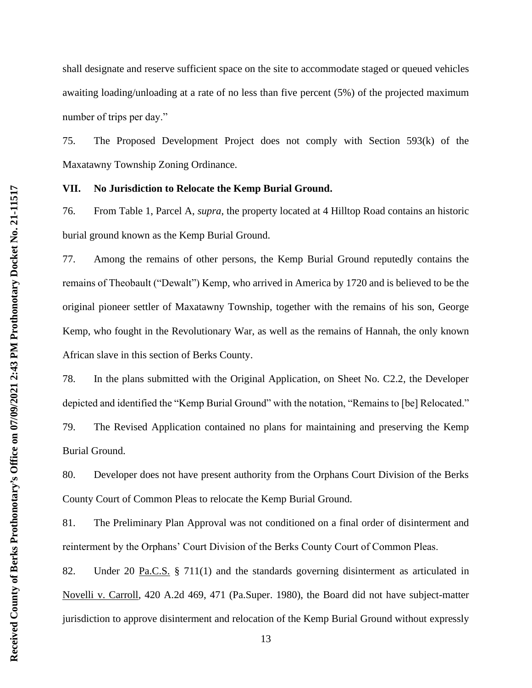shall designate and reserve sufficient space on the site to accommodate staged or queued vehicles awaiting loading/unloading at a rate of no less than five percent (5%) of the projected maximum number of trips per day."

75. The Proposed Development Project does not comply with Section 593(k) of the Maxatawny Township Zoning Ordinance.

#### **VII. No Jurisdiction to Relocate the Kemp Burial Ground.**

76. From Table 1, Parcel A, *supra*, the property located at 4 Hilltop Road contains an historic burial ground known as the Kemp Burial Ground.

77. Among the remains of other persons, the Kemp Burial Ground reputedly contains the remains of Theobault ("Dewalt") Kemp, who arrived in America by 1720 and is believed to be the original pioneer settler of Maxatawny Township, together with the remains of his son, George Kemp, who fought in the Revolutionary War, as well as the remains of Hannah, the only known African slave in this section of Berks County.

78. In the plans submitted with the Original Application, on Sheet No. C2.2, the Developer depicted and identified the "Kemp Burial Ground" with the notation, "Remains to [be] Relocated." 79. The Revised Application contained no plans for maintaining and preserving the Kemp Burial Ground.

80. Developer does not have present authority from the Orphans Court Division of the Berks County Court of Common Pleas to relocate the Kemp Burial Ground.

81. The Preliminary Plan Approval was not conditioned on a final order of disinterment and reinterment by the Orphans' Court Division of the Berks County Court of Common Pleas.

82. Under 20 Pa.C.S. § 711(1) and the standards governing disinterment as articulated in Novelli v. Carroll, 420 A.2d 469, 471 (Pa.Super. 1980), the Board did not have subject-matter jurisdiction to approve disinterment and relocation of the Kemp Burial Ground without expressly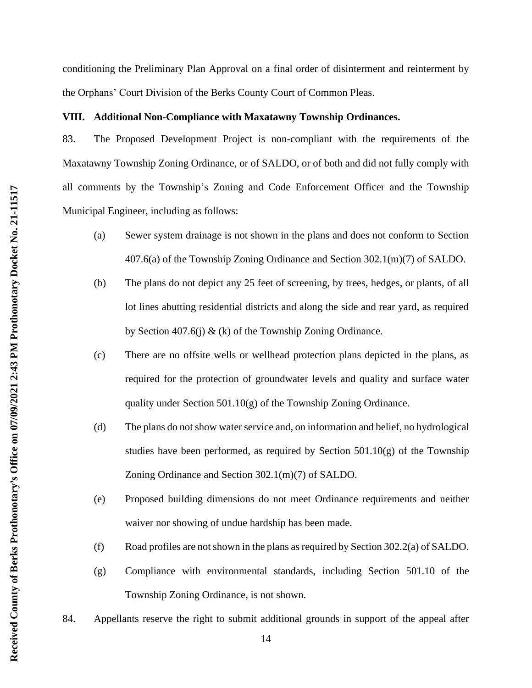conditioning the Preliminary Plan Approval on a final order of disinterment and reinterment by the Orphans' Court Division of the Berks County Court of Common Pleas.

### **VIII. Additional Non-Compliance with Maxatawny Township Ordinances.**

83. The Proposed Development Project is non-compliant with the requirements of the Maxatawny Township Zoning Ordinance, or of SALDO, or of both and did not fully comply with all comments by the Township's Zoning and Code Enforcement Officer and the Township Municipal Engineer, including as follows:

- (a) Sewer system drainage is not shown in the plans and does not conform to Section 407.6(a) of the Township Zoning Ordinance and Section 302.1(m)(7) of SALDO.
- (b) The plans do not depict any 25 feet of screening, by trees, hedges, or plants, of all lot lines abutting residential districts and along the side and rear yard, as required by Section 407.6(j)  $\&$  (k) of the Township Zoning Ordinance.
- (c) There are no offsite wells or wellhead protection plans depicted in the plans, as required for the protection of groundwater levels and quality and surface water quality under Section 501.10(g) of the Township Zoning Ordinance.
- (d) The plans do not show water service and, on information and belief, no hydrological studies have been performed, as required by Section 501.10(g) of the Township Zoning Ordinance and Section 302.1(m)(7) of SALDO.
- (e) Proposed building dimensions do not meet Ordinance requirements and neither waiver nor showing of undue hardship has been made.
- (f) Road profiles are not shown in the plans as required by Section 302.2(a) of SALDO.
- (g) Compliance with environmental standards, including Section 501.10 of the Township Zoning Ordinance, is not shown.
- 84. Appellants reserve the right to submit additional grounds in support of the appeal after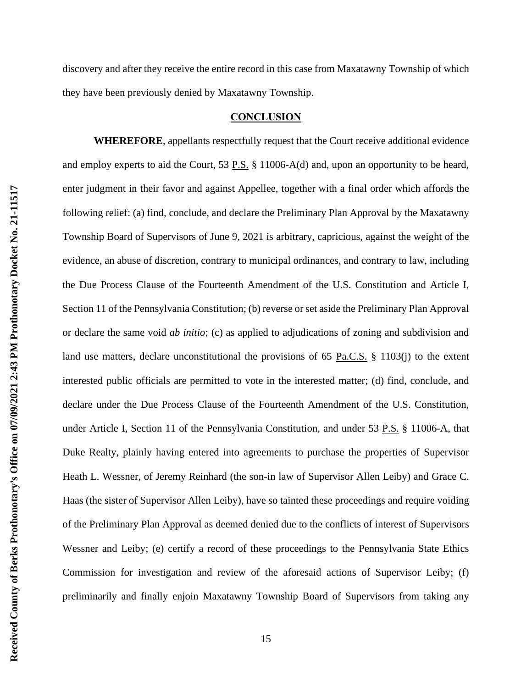discovery and after they receive the entire record in this case from Maxatawny Township of which they have been previously denied by Maxatawny Township.

#### **CONCLUSION**

**WHEREFORE**, appellants respectfully request that the Court receive additional evidence and employ experts to aid the Court, 53 P.S. § 11006-A(d) and, upon an opportunity to be heard, enter judgment in their favor and against Appellee, together with a final order which affords the following relief: (a) find, conclude, and declare the Preliminary Plan Approval by the Maxatawny Township Board of Supervisors of June 9, 2021 is arbitrary, capricious, against the weight of the evidence, an abuse of discretion, contrary to municipal ordinances, and contrary to law, including the Due Process Clause of the Fourteenth Amendment of the U.S. Constitution and Article I, Section 11 of the Pennsylvania Constitution; (b) reverse or set aside the Preliminary Plan Approval or declare the same void *ab initio*; (c) as applied to adjudications of zoning and subdivision and land use matters, declare unconstitutional the provisions of 65 Pa.C.S.  $\S$  1103(j) to the extent interested public officials are permitted to vote in the interested matter; (d) find, conclude, and declare under the Due Process Clause of the Fourteenth Amendment of the U.S. Constitution, under Article I, Section 11 of the Pennsylvania Constitution, and under 53 P.S. § 11006-A, that Duke Realty, plainly having entered into agreements to purchase the properties of Supervisor Heath L. Wessner, of Jeremy Reinhard (the son-in law of Supervisor Allen Leiby) and Grace C. Haas (the sister of Supervisor Allen Leiby), have so tainted these proceedings and require voiding of the Preliminary Plan Approval as deemed denied due to the conflicts of interest of Supervisors Wessner and Leiby; (e) certify a record of these proceedings to the Pennsylvania State Ethics Commission for investigation and review of the aforesaid actions of Supervisor Leiby; (f) preliminarily and finally enjoin Maxatawny Township Board of Supervisors from taking any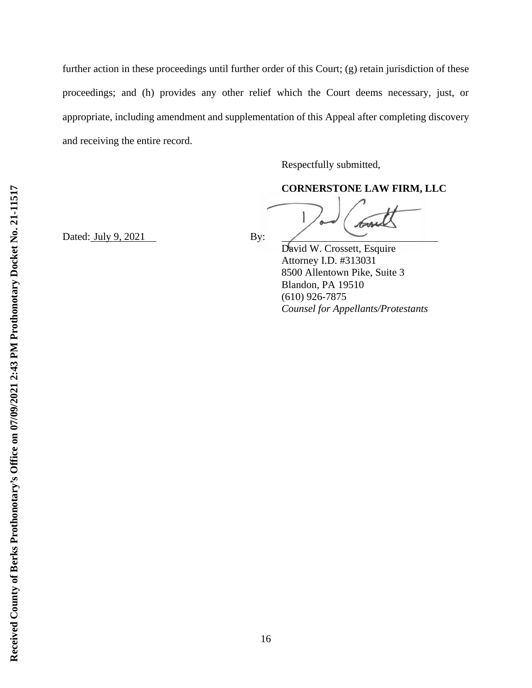further action in these proceedings until further order of this Court; (g) retain jurisdiction of these proceedings; and (h) provides any other relief which the Court deems necessary, just, or appropriate, including amendment and supplementation of this Appeal after completing discovery and receiving the entire record.

Respectfully submitted,

**CORNERSTONE LAW FIRM, LLC**

Dated:  $July\ 9, 2021$  By:

David W. Crossett, Esquire Attorney I.D. #313031 8500 Allentown Pike, Suite 3 Blandon, PA 19510 (610) 926-7875 *Counsel for Appellants/Protestants*